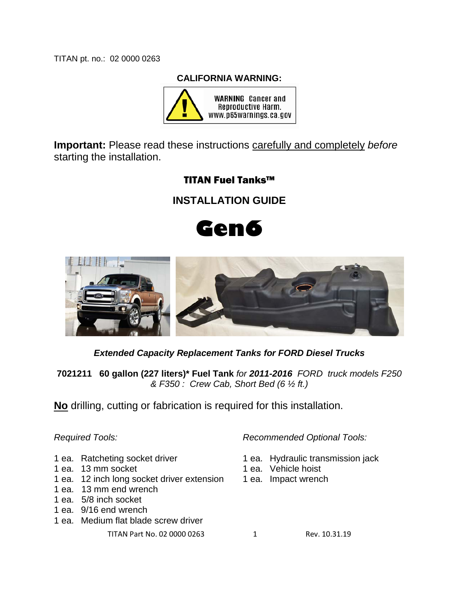TITAN pt. no.: 02 0000 0263

#### **CALIFORNIA WARNING:**



**Important:** Please read these instructions carefully and completely *before* starting the installation.

# TITAN Fuel Tanks™

**INSTALLATION GUIDE**





*Extended Capacity Replacement Tanks for FORD Diesel Trucks*

**7021211 60 gallon (227 liters)\* Fuel Tank** *for 2011-2016 FORD truck models F250 & F350 : Crew Cab, Short Bed (6 ½ ft.)*

**No** drilling, cutting or fabrication is required for this installation.

- 
- 1 ea. 13 mm socket 1 ea. Vehicle hoist
- 1 ea. 12 inch long socket driver extension 1 ea. Impact wrench
- 1 ea. 13 mm end wrench
- 1 ea. 5/8 inch socket
- 1 ea. 9/16 end wrench
- 1 ea. Medium flat blade screw driver

TITAN Part No. 02 0000 0263 1 Rev. 10.31.19

*Required Tools: Recommended Optional Tools:*

- 1 ea. Ratcheting socket driver 1 ea. Hydraulic transmission jack
	-
	-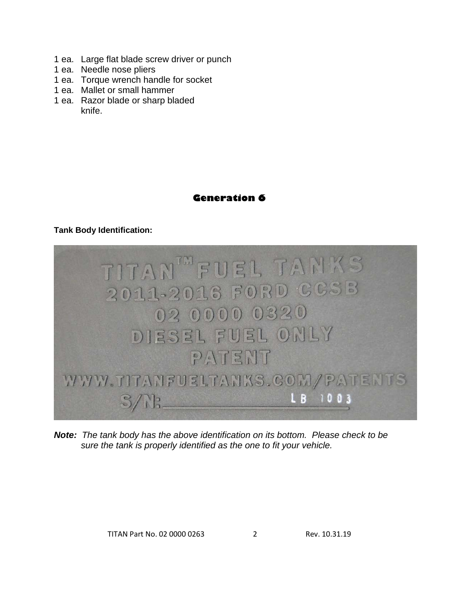- 1 ea. Large flat blade screw driver or punch
- 1 ea. Needle nose pliers
- 1 ea. Torque wrench handle for socket
- 1 ea. Mallet or small hammer
- 1 ea. Razor blade or sharp bladed knife.

## **Generation 6**

### **Tank Body Identification:**



*Note: The tank body has the above identification on its bottom. Please check to be sure the tank is properly identified as the one to fit your vehicle.*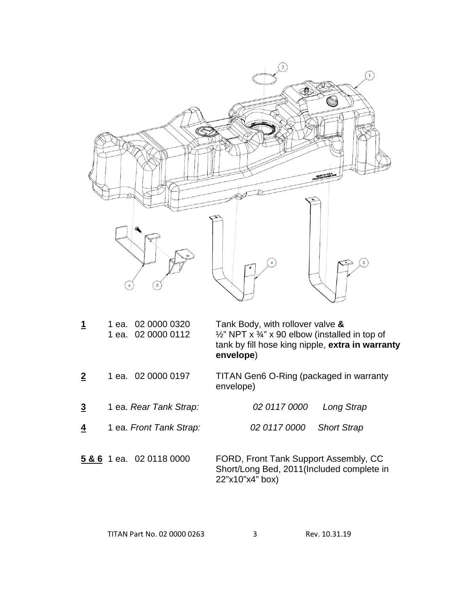

| Tank Body, with rollover valve &<br>1 ea. 02 0000 0320<br>$\frac{1}{2}$ " NPT x $\frac{3}{4}$ " x 90 elbow (installed in top of<br>1 ea. 02 0000 0112<br>tank by fill hose king nipple, extra in warranty<br>envelope) |  |
|------------------------------------------------------------------------------------------------------------------------------------------------------------------------------------------------------------------------|--|
|------------------------------------------------------------------------------------------------------------------------------------------------------------------------------------------------------------------------|--|

- **2** 1 ea. 02 0000 0197 TITAN Gen6 O-Ring (packaged in warranty envelope)
- **3** 1 ea. *Rear Tank Strap: 02 0117 0000 Long Strap*
- **4** 1 ea. *Front Tank Strap: 02 0117 0000 Short Strap*
- **5 & 6** 1 ea. 02 0118 0000 FORD, Front Tank Support Assembly, CC Short/Long Bed, 2011(Included complete in 22"x10"x4" box)

| TITAN Part No. 02 0000 0263 | Rev. 10.31.19 |
|-----------------------------|---------------|
|                             |               |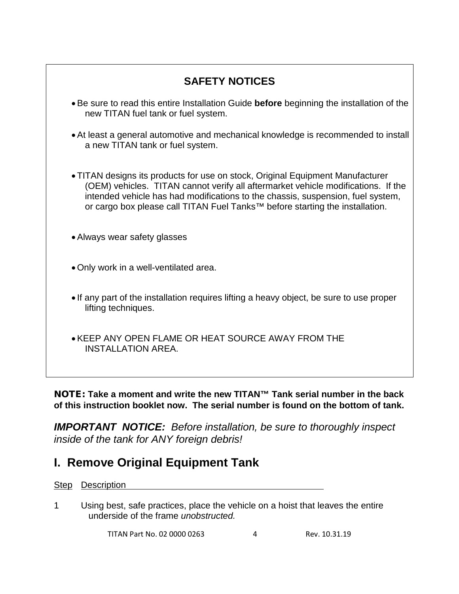| <b>SAFETY NOTICES</b>                                                                                                                                                                                                                                                                                                                              |
|----------------------------------------------------------------------------------------------------------------------------------------------------------------------------------------------------------------------------------------------------------------------------------------------------------------------------------------------------|
| • Be sure to read this entire Installation Guide before beginning the installation of the<br>new TITAN fuel tank or fuel system.                                                                                                                                                                                                                   |
| • At least a general automotive and mechanical knowledge is recommended to install<br>a new TITAN tank or fuel system.                                                                                                                                                                                                                             |
| • TITAN designs its products for use on stock, Original Equipment Manufacturer<br>(OEM) vehicles. TITAN cannot verify all aftermarket vehicle modifications. If the<br>intended vehicle has had modifications to the chassis, suspension, fuel system,<br>or cargo box please call TITAN Fuel Tanks <sup>™</sup> before starting the installation. |
| • Always wear safety glasses                                                                                                                                                                                                                                                                                                                       |
| • Only work in a well-ventilated area.                                                                                                                                                                                                                                                                                                             |
| • If any part of the installation requires lifting a heavy object, be sure to use proper<br>lifting techniques.                                                                                                                                                                                                                                    |
| • KEEP ANY OPEN FLAME OR HEAT SOURCE AWAY FROM THE<br><b>INSTALLATION AREA.</b>                                                                                                                                                                                                                                                                    |
|                                                                                                                                                                                                                                                                                                                                                    |

NOTE: **Take a moment and write the new TITAN™ Tank serial number in the back of this instruction booklet now. The serial number is found on the bottom of tank.**

*IMPORTANT NOTICE: Before installation, be sure to thoroughly inspect inside of the tank for ANY foreign debris!* 

# **I. Remove Original Equipment Tank**

**Step Description** 

1 Using best, safe practices, place the vehicle on a hoist that leaves the entire underside of the frame *unobstructed.*

TITAN Part No. 02 0000 0263 4 Rev. 10.31.19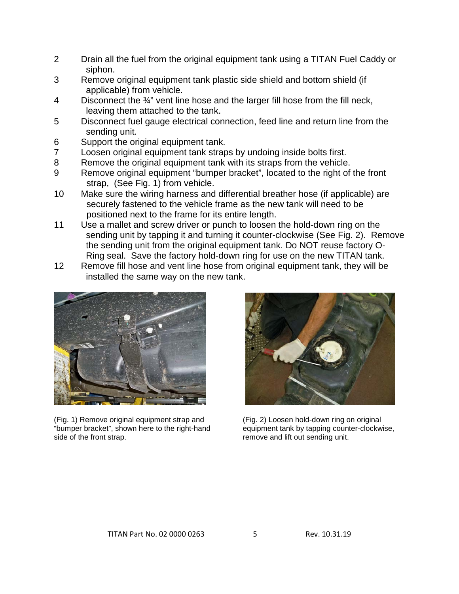- 2 Drain all the fuel from the original equipment tank using a TITAN Fuel Caddy or siphon.
- 3 Remove original equipment tank plastic side shield and bottom shield (if applicable) from vehicle.
- 4 Disconnect the 3/4" vent line hose and the larger fill hose from the fill neck, leaving them attached to the tank.
- 5 Disconnect fuel gauge electrical connection, feed line and return line from the sending unit.
- 6 Support the original equipment tank.
- 7 Loosen original equipment tank straps by undoing inside bolts first.
- 8 Remove the original equipment tank with its straps from the vehicle.
- 9 Remove original equipment "bumper bracket", located to the right of the front strap, (See Fig. 1) from vehicle.
- 10 Make sure the wiring harness and differential breather hose (if applicable) are securely fastened to the vehicle frame as the new tank will need to be positioned next to the frame for its entire length.
- 11 Use a mallet and screw driver or punch to loosen the hold-down ring on the sending unit by tapping it and turning it counter-clockwise (See Fig. 2). Remove the sending unit from the original equipment tank. Do NOT reuse factory O- Ring seal. Save the factory hold-down ring for use on the new TITAN tank.
- 12 Remove fill hose and vent line hose from original equipment tank, they will be installed the same way on the new tank.



(Fig. 1) Remove original equipment strap and (Fig. 2) Loosen hold-down ring on original "bumper bracket", shown here to the right-hand equipment tank by tapping counter-clockwise, "bumper bracket", shown here to the right-hand side of the front strap. The remove and lift out sending unit.

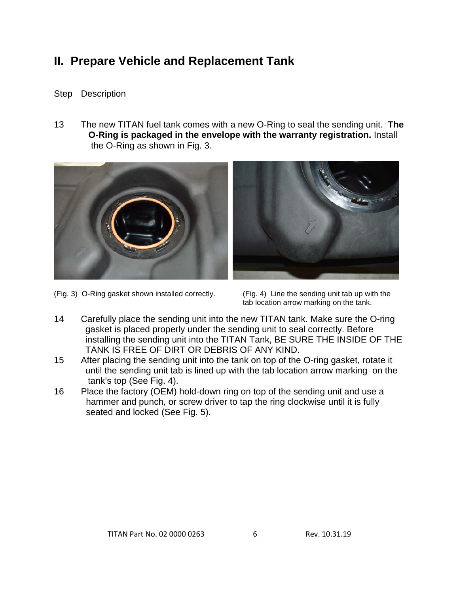# **II. Prepare Vehicle and Replacement Tank**

## Step Description

13 The new TITAN fuel tank comes with a new O-Ring to seal the sending unit. **The O-Ring is packaged in the envelope with the warranty registration.** Install the O-Ring as shown in Fig. 3.





(Fig. 3) O-Ring gasket shown installed correctly. (Fig. 4) Line the sending unit tab up with the

tab location arrow marking on the tank.

- 14 Carefully place the sending unit into the new TITAN tank. Make sure the O-ring gasket is placed properly under the sending unit to seal correctly. Before installing the sending unit into the TITAN Tank, BE SURE THE INSIDE OF THE TANK IS FREE OF DIRT OR DEBRIS OF ANY KIND.
- 15 After placing the sending unit into the tank on top of the O-ring gasket, rotate it until the sending unit tab is lined up with the tab location arrow marking on the tank's top (See Fig. 4).
- 16 Place the factory (OEM) hold-down ring on top of the sending unit and use a hammer and punch, or screw driver to tap the ring clockwise until it is fully seated and locked (See Fig. 5).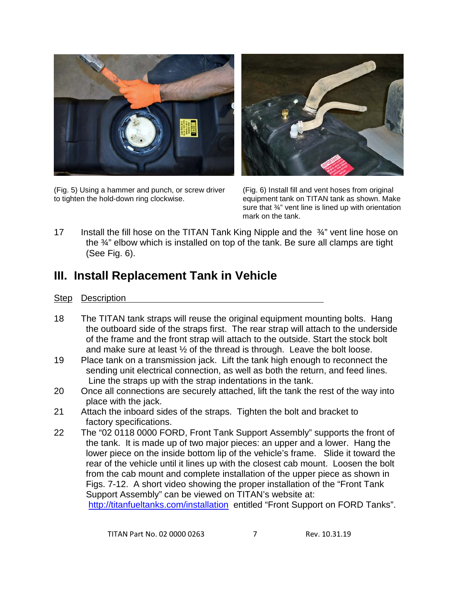

(Fig. 5) Using a hammer and punch, or screw driver (Fig. 6) Install fill and vent hoses from original to tighten the hold-down ring clockwise. equipment tank on TITAN tank as shown. Make



sure that 34" vent line is lined up with orientation mark on the tank.

17 Install the fill hose on the TITAN Tank King Nipple and the 3<sup>4</sup> vent line hose on the ¾" elbow which is installed on top of the tank. Be sure all clamps are tight (See Fig. 6).

# **III. Install Replacement Tank in Vehicle**

### Step Description

- 18 The TITAN tank straps will reuse the original equipment mounting bolts. Hang the outboard side of the straps first. The rear strap will attach to the underside of the frame and the front strap will attach to the outside. Start the stock bolt and make sure at least  $\frac{1}{2}$  of the thread is through. Leave the bolt loose.
- 19 Place tank on a transmission jack. Lift the tank high enough to reconnect the sending unit electrical connection, as well as both the return, and feed lines. Line the straps up with the strap indentations in the tank.
- 20 Once all connections are securely attached, lift the tank the rest of the way into place with the jack.
- 21 Attach the inboard sides of the straps. Tighten the bolt and bracket to factory specifications.
- 22 The "02 0118 0000 FORD, Front Tank Support Assembly" supports the front of the tank. It is made up of two major pieces: an upper and a lower. Hang the lower piece on the inside bottom lip of the vehicle's frame. Slide it toward the rear of the vehicle until it lines up with the closest cab mount. Loosen the bolt from the cab mount and complete installation of the upper piece as shown in Figs. 7-12. A short video showing the proper installation of the "Front Tank Support Assembly" can be viewed on TITAN's website at: <http://titanfueltanks.com/installation>entitled "Front Support on FORD Tanks".

TITAN Part No. 02 0000 0263 7 Rev. 10.31.19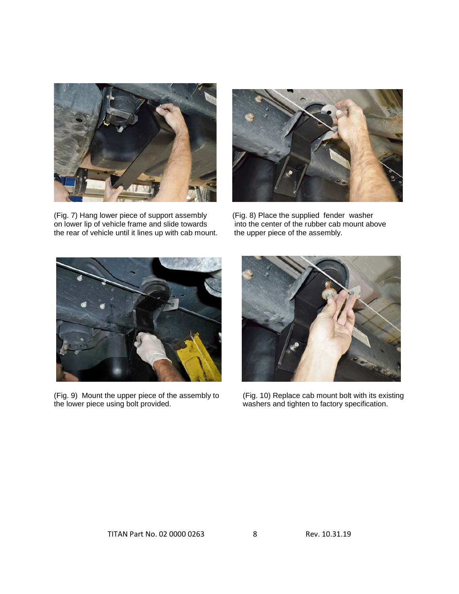

(Fig. 7) Hang lower piece of support assembly (Fig. 8) Place the supplied fender washer<br>on lower lip of vehicle frame and slide towards into the center of the rubber cab mount above on lower lip of vehicle frame and slide towards into the center of the rubber cab if the rear of vehicle until it lines up with cab mount. The upper piece of the assembly. the rear of vehicle until it lines up with cab mount.





(Fig. 9) Mount the upper piece of the assembly to (Fig. 10) Replace cab mount bolt with its existing the lower piece using bolt provided. washers and tighten to factory specification.



washers and tighten to factory specification.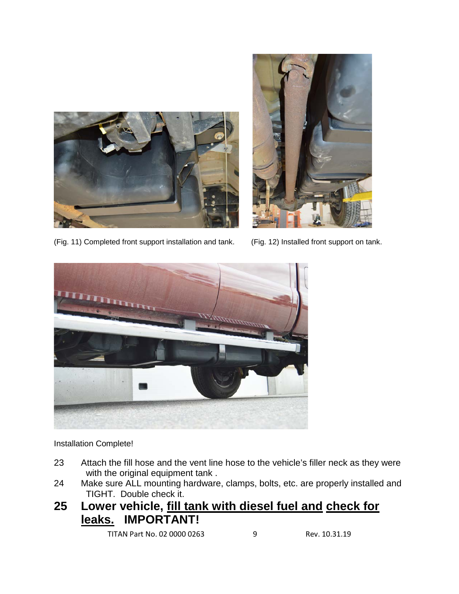



(Fig. 11) Completed front support installation and tank. (Fig. 12) Installed front support on tank.



Installation Complete!

- 23 Attach the fill hose and the vent line hose to the vehicle's filler neck as they were with the original equipment tank .
- 24 Make sure ALL mounting hardware, clamps, bolts, etc. are properly installed and TIGHT. Double check it.
- **25 Lower vehicle, fill tank with diesel fuel and check for leaks. IMPORTANT!**

TITAN Part No. 02 0000 0263 9 Rev. 10.31.19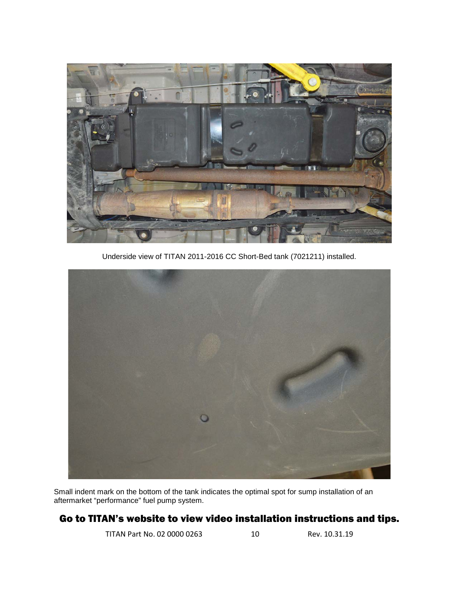

Underside view of TITAN 2011-2016 CC Short-Bed tank (7021211) installed.



Small indent mark on the bottom of the tank indicates the optimal spot for sump installation of an aftermarket "performance" fuel pump system.

## Go to TITAN's website to view video installation instructions and tips.

TITAN Part No. 02 0000 0263 10 Rev. 10.31.19